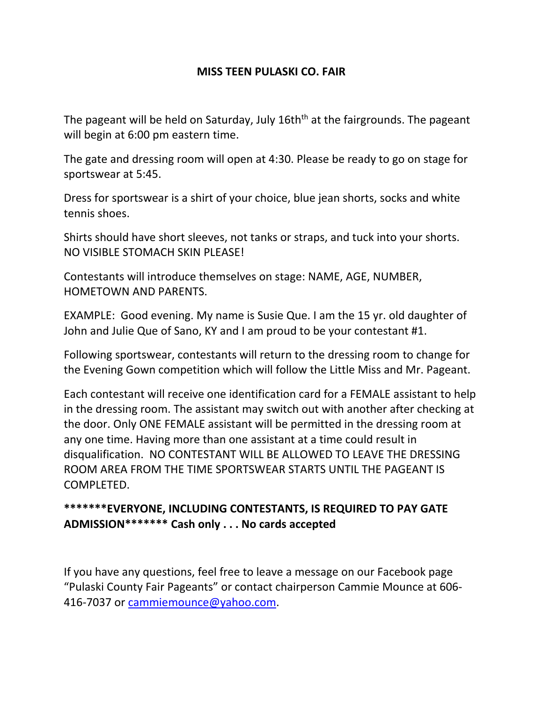## **MISS TEEN PULASKI CO. FAIR**

The pageant will be held on Saturday, July 16th<sup>th</sup> at the fairgrounds. The pageant will begin at 6:00 pm eastern time.

The gate and dressing room will open at 4:30. Please be ready to go on stage for sportswear at 5:45.

Dress for sportswear is a shirt of your choice, blue jean shorts, socks and white tennis shoes.

Shirts should have short sleeves, not tanks or straps, and tuck into your shorts. NO VISIBLE STOMACH SKIN PLEASE!

Contestants will introduce themselves on stage: NAME, AGE, NUMBER, HOMETOWN AND PARENTS.

EXAMPLE: Good evening. My name is Susie Que. I am the 15 yr. old daughter of John and Julie Que of Sano, KY and I am proud to be your contestant #1.

Following sportswear, contestants will return to the dressing room to change for the Evening Gown competition which will follow the Little Miss and Mr. Pageant.

Each contestant will receive one identification card for a FEMALE assistant to help in the dressing room. The assistant may switch out with another after checking at the door. Only ONE FEMALE assistant will be permitted in the dressing room at any one time. Having more than one assistant at a time could result in disqualification. NO CONTESTANT WILL BE ALLOWED TO LEAVE THE DRESSING ROOM AREA FROM THE TIME SPORTSWEAR STARTS UNTIL THE PAGEANT IS COMPLETED.

## **\*\*\*\*\*\*\*EVERYONE, INCLUDING CONTESTANTS, IS REQUIRED TO PAY GATE ADMISSION\*\*\*\*\*\*\* Cash only . . . No cards accepted**

If you have any questions, feel free to leave a message on our Facebook page "Pulaski County Fair Pageants" or contact chairperson Cammie Mounce at 606- 416-7037 or [cammiemounce@yahoo.com.](mailto:cammiemounce@yahoo.com)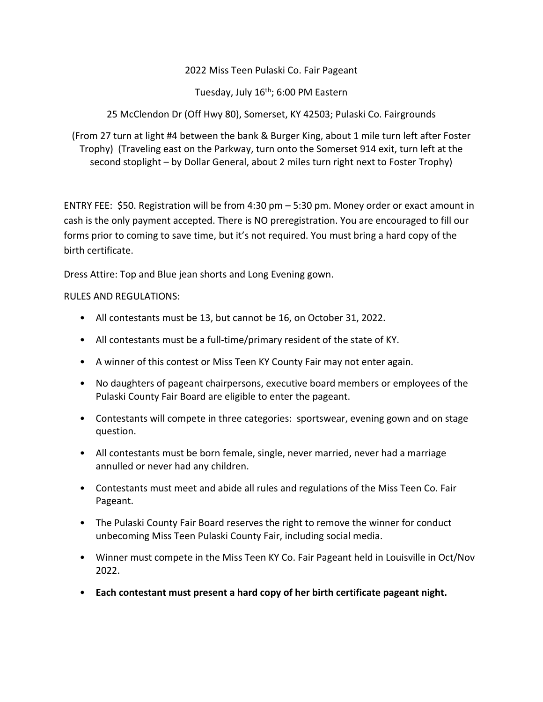2022 Miss Teen Pulaski Co. Fair Pageant

Tuesday, July 16<sup>th</sup>; 6:00 PM Eastern

25 McClendon Dr (Off Hwy 80), Somerset, KY 42503; Pulaski Co. Fairgrounds

(From 27 turn at light #4 between the bank & Burger King, about 1 mile turn left after Foster Trophy) (Traveling east on the Parkway, turn onto the Somerset 914 exit, turn left at the second stoplight – by Dollar General, about 2 miles turn right next to Foster Trophy)

ENTRY FEE: \$50. Registration will be from 4:30 pm – 5:30 pm. Money order or exact amount in cash is the only payment accepted. There is NO preregistration. You are encouraged to fill our forms prior to coming to save time, but it's not required. You must bring a hard copy of the birth certificate.

Dress Attire: Top and Blue jean shorts and Long Evening gown.

RULES AND REGULATIONS:

- All contestants must be 13, but cannot be 16, on October 31, 2022.
- All contestants must be a full-time/primary resident of the state of KY.
- A winner of this contest or Miss Teen KY County Fair may not enter again.
- No daughters of pageant chairpersons, executive board members or employees of the Pulaski County Fair Board are eligible to enter the pageant.
- Contestants will compete in three categories: sportswear, evening gown and on stage question.
- All contestants must be born female, single, never married, never had a marriage annulled or never had any children.
- Contestants must meet and abide all rules and regulations of the Miss Teen Co. Fair Pageant.
- The Pulaski County Fair Board reserves the right to remove the winner for conduct unbecoming Miss Teen Pulaski County Fair, including social media.
- Winner must compete in the Miss Teen KY Co. Fair Pageant held in Louisville in Oct/Nov 2022.
- **Each contestant must present a hard copy of her birth certificate pageant night.**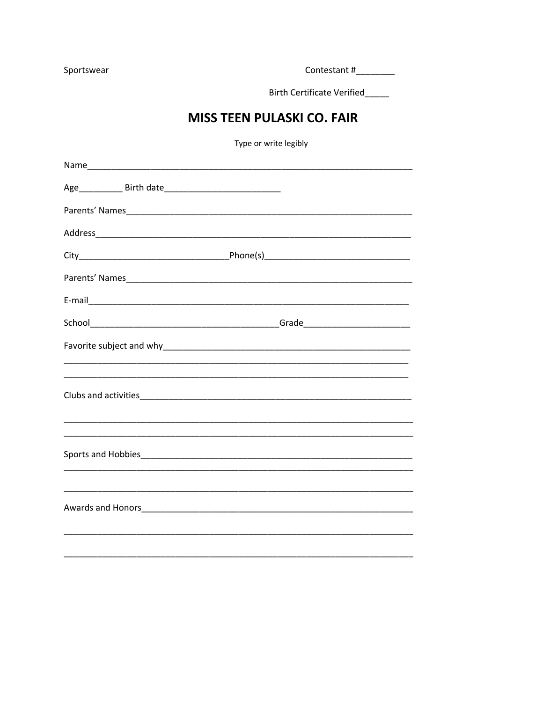Sportswear

Contestant #\_\_\_\_\_\_\_\_\_

Birth Certificate Verified

## **MISS TEEN PULASKI CO. FAIR**

Type or write legibly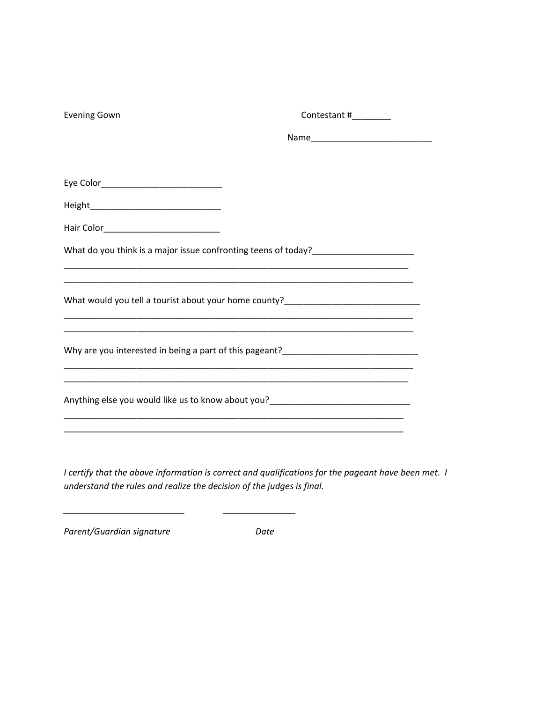| <b>Evening Gown</b> | Contestant #________                                                                                                                                                                                                                          |  |
|---------------------|-----------------------------------------------------------------------------------------------------------------------------------------------------------------------------------------------------------------------------------------------|--|
|                     |                                                                                                                                                                                                                                               |  |
|                     |                                                                                                                                                                                                                                               |  |
|                     |                                                                                                                                                                                                                                               |  |
|                     |                                                                                                                                                                                                                                               |  |
|                     | What do you think is a major issue confronting teens of today?___________________                                                                                                                                                             |  |
|                     |                                                                                                                                                                                                                                               |  |
|                     | What would you tell a tourist about your home county?___________________________                                                                                                                                                              |  |
|                     | <u> 1989 - Johann Harry Harry Harry Harry Harry Harry Harry Harry Harry Harry Harry Harry Harry Harry Harry Harry</u><br><u> 1989 - Johann John Harry Harry Harry Harry Harry Harry Harry Harry Harry Harry Harry Harry Harry Harry Harry</u> |  |
|                     | Why are you interested in being a part of this pageant?__________________________                                                                                                                                                             |  |
|                     | <u> 1989 - John Harry Harry Harry Harry Harry Harry Harry Harry Harry Harry Harry Harry Harry Harry Harry Harry</u>                                                                                                                           |  |
|                     | Anything else you would like us to know about you?______________________________                                                                                                                                                              |  |
|                     |                                                                                                                                                                                                                                               |  |

*I certify that the above information is correct and qualifications for the pageant have been met. I understand the rules and realize the decision of the judges is final.*

*Parent/Guardian signature Date*

*\_\_\_\_\_\_\_\_\_\_\_\_\_\_\_\_\_\_\_\_\_\_\_\_\_ \_\_\_\_\_\_\_\_\_\_\_\_\_\_\_*